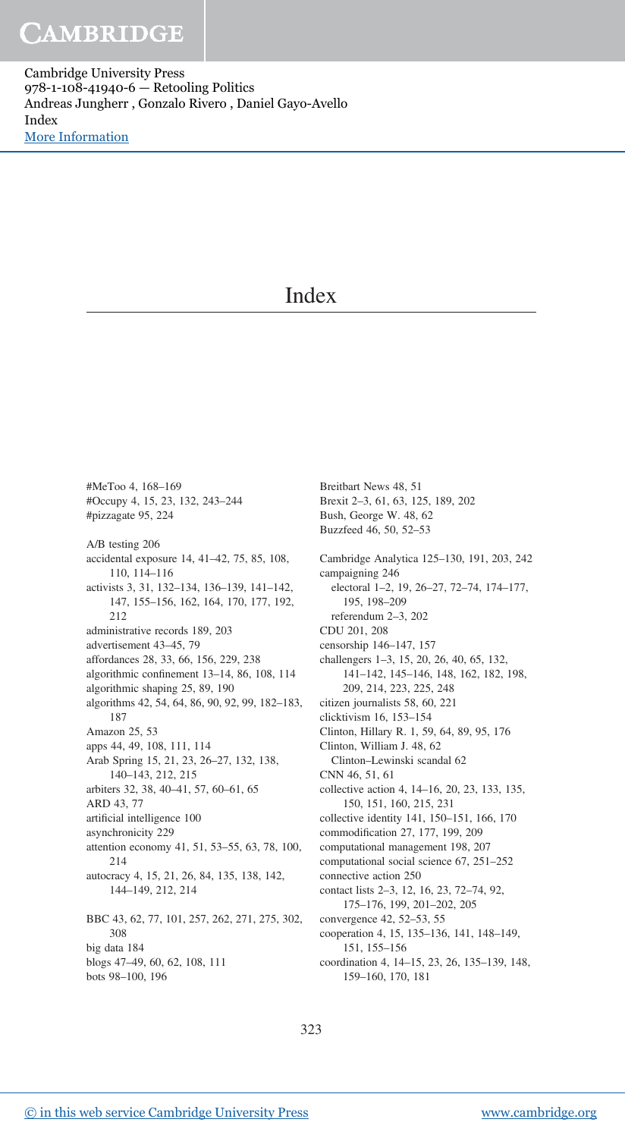Cambridge University Press 978-1-108-41940-6 — Retooling Politics Andreas Jungherr , Gonzalo Rivero , Daniel Gayo-Avello Index [More Information](www.cambridge.org/9781108419406)

### Index

#MeToo 4, 168–169 #Occupy 4, 15, 23, 132, 243–244 #pizzagate 95, 224 A/B testing 206 accidental exposure 14, 41–42, 75, 85, 108, 110, 114–116 activists 3, 31, 132–134, 136–139, 141–142, 147, 155–156, 162, 164, 170, 177, 192, 212 administrative records 189, 203 advertisement 43–45, 79 affordances 28, 33, 66, 156, 229, 238 algorithmic confinement 13–14, 86, 108, 114 algorithmic shaping 25, 89, 190 algorithms 42, 54, 64, 86, 90, 92, 99, 182–183, 187 Amazon 25, 53 apps 44, 49, 108, 111, 114 Arab Spring 15, 21, 23, 26–27, 132, 138, 140–143, 212, 215 arbiters 32, 38, 40–41, 57, 60–61, 65 ARD 43, 77 artificial intelligence 100 asynchronicity 229 attention economy 41, 51, 53–55, 63, 78, 100, 214 autocracy 4, 15, 21, 26, 84, 135, 138, 142, 144–149, 212, 214 BBC 43, 62, 77, 101, 257, 262, 271, 275, 302, 308 big data 184 blogs 47–49, 60, 62, 108, 111

bots 98–100, 196

Breitbart News 48, 51 Brexit 2–3, 61, 63, 125, 189, 202 Bush, George W. 48, 62 Buzzfeed 46, 50, 52–53 Cambridge Analytica 125–130, 191, 203, 242 campaigning 246 electoral 1–2, 19, 26–27, 72–74, 174–177, 195, 198–209 referendum 2–3, 202 CDU 201, 208 censorship 146–147, 157 challengers 1–3, 15, 20, 26, 40, 65, 132, 141–142, 145–146, 148, 162, 182, 198, 209, 214, 223, 225, 248 citizen journalists 58, 60, 221 clicktivism 16, 153–154 Clinton, Hillary R. 1, 59, 64, 89, 95, 176 Clinton, William J. 48, 62 Clinton–Lewinski scandal 62 CNN 46, 51, 61 collective action 4, 14–16, 20, 23, 133, 135, 150, 151, 160, 215, 231 collective identity 141, 150–151, 166, 170 commodification 27, 177, 199, 209 computational management 198, 207 computational social science 67, 251–252 connective action 250 contact lists 2–3, 12, 16, 23, 72–74, 92, 175–176, 199, 201–202, 205 convergence 42, 52–53, 55 cooperation 4, 15, 135–136, 141, 148–149, 151, 155–156

coordination 4, 14–15, 23, 26, 135–139, 148, 159–160, 170, 181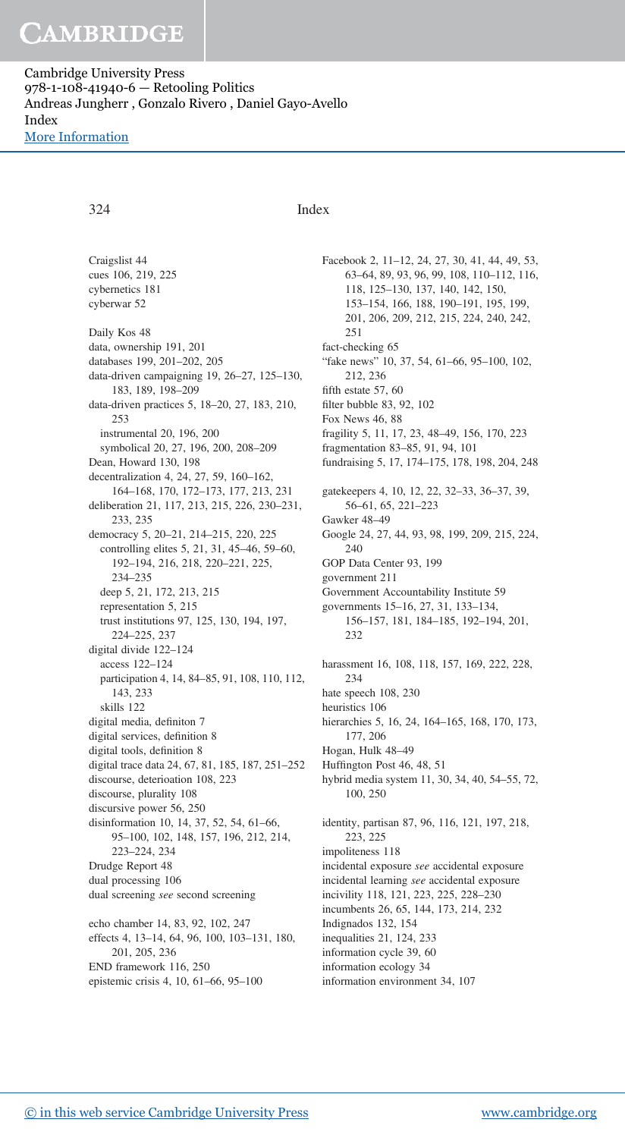## CAMBRIDGE

Cambridge University Press 978-1-108-41940-6 — Retooling Politics Andreas Jungherr , Gonzalo Rivero , Daniel Gayo-Avello Index [More Information](www.cambridge.org/9781108419406)

Craigslist 44 cues 106, 219, 225

### 324 Index

cybernetics 181 cyberwar 52 Daily Kos 48 data, ownership 191, 201 databases 199, 201–202, 205 data-driven campaigning 19, 26–27, 125–130, 183, 189, 198–209 data-driven practices 5, 18–20, 27, 183, 210, 253 instrumental 20, 196, 200 symbolical 20, 27, 196, 200, 208–209 Dean, Howard 130, 198 decentralization 4, 24, 27, 59, 160–162, 164–168, 170, 172–173, 177, 213, 231 deliberation 21, 117, 213, 215, 226, 230–231, 233, 235 democracy 5, 20–21, 214–215, 220, 225 controlling elites 5, 21, 31, 45–46, 59–60, 192–194, 216, 218, 220–221, 225, 234–235 deep 5, 21, 172, 213, 215 representation 5, 215 trust institutions 97, 125, 130, 194, 197, 224–225, 237 digital divide 122–124 access 122–124 participation 4, 14, 84–85, 91, 108, 110, 112, 143, 233 skills 122 digital media, definiton 7 digital services, definition 8 digital tools, definition 8 digital trace data 24, 67, 81, 185, 187, 251–252 discourse, deterioation 108, 223 discourse, plurality 108 discursive power 56, 250 disinformation 10, 14, 37, 52, 54, 61–66, 95–100, 102, 148, 157, 196, 212, 214, 223–224, 234 Drudge Report 48 dual processing 106 dual screening *see* second screening echo chamber 14, 83, 92, 102, 247 effects 4, 13–14, 64, 96, 100, 103–131, 180, 201, 205, 236 END framework 116, 250 epistemic crisis 4, 10, 61–66, 95–100

Facebook 2, 11–12, 24, 27, 30, 41, 44, 49, 53, 63–64, 89, 93, 96, 99, 108, 110–112, 116, 118, 125–130, 137, 140, 142, 150, 153–154, 166, 188, 190–191, 195, 199, 201, 206, 209, 212, 215, 224, 240, 242, 251 fact-checking 65 "fake news" 10, 37, 54, 61–66, 95–100, 102, 212, 236 fifth estate 57, 60 filter bubble 83, 92, 102 Fox News 46, 88 fragility 5, 11, 17, 23, 48–49, 156, 170, 223 fragmentation 83–85, 91, 94, 101 fundraising 5, 17, 174–175, 178, 198, 204, 248 gatekeepers 4, 10, 12, 22, 32–33, 36–37, 39, 56–61, 65, 221–223 Gawker 48–49 Google 24, 27, 44, 93, 98, 199, 209, 215, 224, 240 GOP Data Center 93, 199 government 211 Government Accountability Institute 59 governments 15–16, 27, 31, 133–134, 156–157, 181, 184–185, 192–194, 201, 232 harassment 16, 108, 118, 157, 169, 222, 228, 234 hate speech 108, 230 heuristics 106 hierarchies 5, 16, 24, 164–165, 168, 170, 173, 177, 206 Hogan, Hulk 48–49 Huffington Post 46, 48, 51 hybrid media system 11, 30, 34, 40, 54–55, 72, 100, 250 identity, partisan 87, 96, 116, 121, 197, 218, 223, 225 impoliteness 118 incidental exposure *see* accidental exposure incidental learning *see* accidental exposure incivility 118, 121, 223, 225, 228–230 incumbents 26, 65, 144, 173, 214, 232 Indignados 132, 154 inequalities 21, 124, 233 information cycle 39, 60 information ecology 34 information environment 34, 107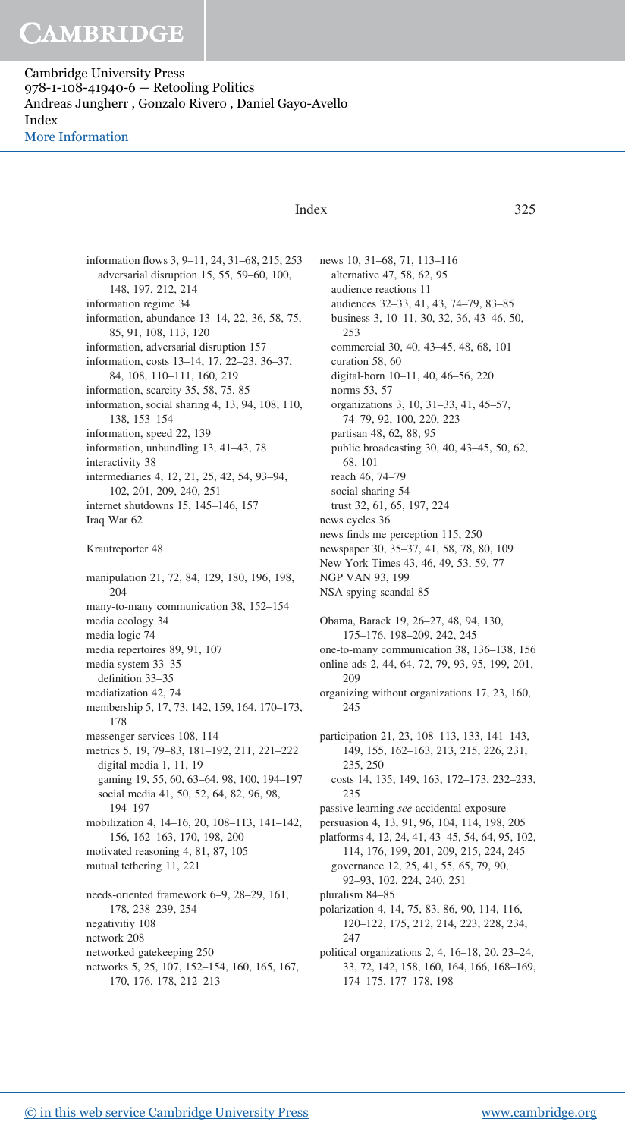# CAMBRIDGE

Cambridge University Press 978-1-108-41940-6 — Retooling Politics Andreas Jungherr , Gonzalo Rivero , Daniel Gayo-Avello Index [More Information](www.cambridge.org/9781108419406)

### Index 325

news 10, 31–68, 71, 113–116

information flows 3, 9–11, 24, 31–68, 215, 253 adversarial disruption 15, 55, 59–60, 100, 148, 197, 212, 214 information regime 34 information, abundance 13–14, 22, 36, 58, 75, 85, 91, 108, 113, 120 information, adversarial disruption 157 information, costs 13–14, 17, 22–23, 36–37, 84, 108, 110–111, 160, 219 information, scarcity 35, 58, 75, 85 information, social sharing 4, 13, 94, 108, 110, 138, 153–154 information, speed 22, 139 information, unbundling 13, 41–43, 78 interactivity 38 intermediaries 4, 12, 21, 25, 42, 54, 93–94, 102, 201, 209, 240, 251 internet shutdowns 15, 145–146, 157 Iraq War 62 Krautreporter 48 manipulation 21, 72, 84, 129, 180, 196, 198, 204 many-to-many communication 38, 152–154 media ecology 34 media logic 74 media repertoires 89, 91, 107 media system 33–35 definition 33–35 mediatization 42, 74 membership 5, 17, 73, 142, 159, 164, 170–173, 178 messenger services 108, 114 metrics 5, 19, 79–83, 181–192, 211, 221–222 digital media 1, 11, 19 gaming 19, 55, 60, 63–64, 98, 100, 194–197 social media 41, 50, 52, 64, 82, 96, 98, 194–197 mobilization 4, 14–16, 20, 108–113, 141–142, 156, 162–163, 170, 198, 200 motivated reasoning 4, 81, 87, 105 mutual tethering 11, 221 needs-oriented framework 6–9, 28–29, 161, 178, 238–239, 254 negativitiy 108 network 208 networked gatekeeping 250 networks 5, 25, 107, 152–154, 160, 165, 167, 170, 176, 178, 212–213

alternative 47, 58, 62, 95 audience reactions 11 audiences 32–33, 41, 43, 74–79, 83–85 business 3, 10–11, 30, 32, 36, 43–46, 50, 253 commercial 30, 40, 43–45, 48, 68, 101 curation 58, 60 digital-born 10–11, 40, 46–56, 220 norms 53, 57 organizations 3, 10, 31–33, 41, 45–57, 74–79, 92, 100, 220, 223 partisan 48, 62, 88, 95 public broadcasting 30, 40, 43–45, 50, 62, 68, 101 reach 46, 74–79 social sharing 54 trust 32, 61, 65, 197, 224 news cycles 36 news finds me perception 115, 250 newspaper 30, 35–37, 41, 58, 78, 80, 109 New York Times 43, 46, 49, 53, 59, 77 NGP VAN 93, 199 NSA spying scandal 85 Obama, Barack 19, 26–27, 48, 94, 130, 175–176, 198–209, 242, 245 one-to-many communication 38, 136–138, 156 online ads 2, 44, 64, 72, 79, 93, 95, 199, 201, 209 organizing without organizations 17, 23, 160, 245 participation 21, 23, 108–113, 133, 141–143, 149, 155, 162–163, 213, 215, 226, 231, 235, 250 costs 14, 135, 149, 163, 172–173, 232–233, 235 passive learning *see* accidental exposure persuasion 4, 13, 91, 96, 104, 114, 198, 205 platforms 4, 12, 24, 41, 43–45, 54, 64, 95, 102, 114, 176, 199, 201, 209, 215, 224, 245 governance 12, 25, 41, 55, 65, 79, 90, 92–93, 102, 224, 240, 251 pluralism 84–85 polarization 4, 14, 75, 83, 86, 90, 114, 116, 120–122, 175, 212, 214, 223, 228, 234, 247 political organizations 2, 4, 16–18, 20, 23–24, 33, 72, 142, 158, 160, 164, 166, 168–169, 174–175, 177–178, 198